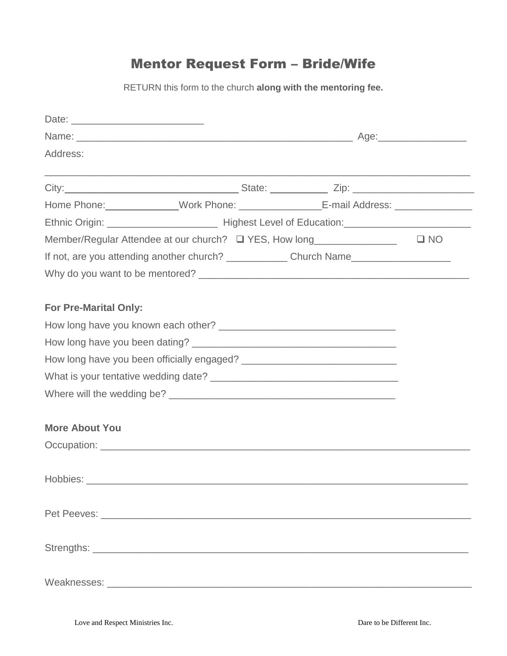## Mentor Request Form – Bride/Wife

RETURN this form to the church **along with the mentoring fee.**

| Address:                                                                                             |  |              |
|------------------------------------------------------------------------------------------------------|--|--------------|
|                                                                                                      |  |              |
| Home Phone: ______________Work Phone: _____________________E-mail Address: _________________________ |  |              |
|                                                                                                      |  |              |
| Member/Regular Attendee at our church? □ YES, How long________________                               |  | $\square$ NO |
|                                                                                                      |  |              |
|                                                                                                      |  |              |
|                                                                                                      |  |              |
| <b>For Pre-Marital Only:</b>                                                                         |  |              |
|                                                                                                      |  |              |
|                                                                                                      |  |              |
|                                                                                                      |  |              |
|                                                                                                      |  |              |
|                                                                                                      |  |              |
| <b>More About You</b>                                                                                |  |              |
|                                                                                                      |  |              |
| Hobbies:                                                                                             |  |              |
|                                                                                                      |  |              |
|                                                                                                      |  |              |
|                                                                                                      |  |              |